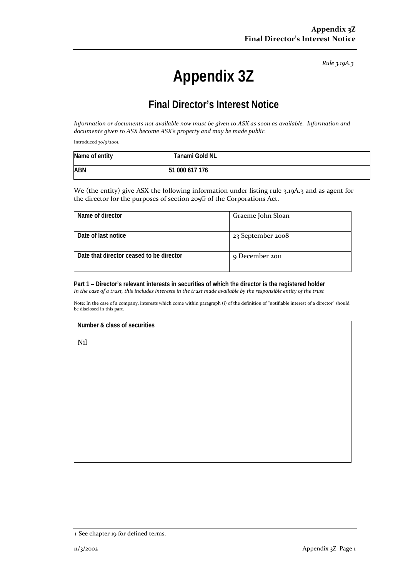*Rule 3.19A.3*

# **Appendix 3Z**

# **Final Director's Interest Notice**

*Information or documents not available now must be given to ASX as soon as available. Information and documents given to ASX become ASX's property and may be made public.*

Introduced 30/9/2001.

| Name of entity | Tanami Gold NL |  |
|----------------|----------------|--|
| <b>ABN</b>     | 51 000 617 176 |  |

We (the entity) give ASX the following information under listing rule 3.19A.3 and as agent for the director for the purposes of section 205G of the Corporations Act.

| Name of director                         | Graeme John Sloan |
|------------------------------------------|-------------------|
| Date of last notice                      | 23 September 2008 |
| Date that director ceased to be director | 9 December 2011   |

**Part 1 – Director's relevant interests in securities of which the director is the registered holder** *In the case of a trust, this includes interests in the trust made available by the responsible entity of the trust*

Note: In the case of a company, interests which come within paragraph (i) of the definition of "notifiable interest of a director" should be disclosed in this part.

#### **Number & class of securities**

Nil

<sup>+</sup> See chapter 19 for defined terms.